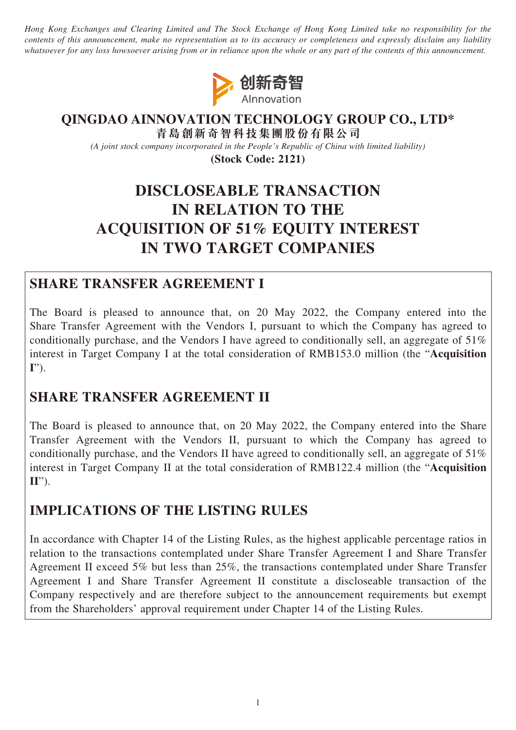*Hong Kong Exchanges and Clearing Limited and The Stock Exchange of Hong Kong Limited take no responsibility for the contents of this announcement, make no representation as to its accuracy or completeness and expressly disclaim any liability whatsoever for any loss howsoever arising from or in reliance upon the whole or any part of the contents of this announcement.*



### **QINGDAO AINNOVATION TECHNOLOGY GROUP CO., LTD\* 青島創新奇智科技集團股份有限公司**

*(A joint stock company incorporated in the People's Republic of China with limited liability)*

**(Stock Code: 2121)**

# **DISCLOSEABLE TRANSACTION IN RELATION TO THE ACQUISITION OF 51% EQUITY INTEREST IN TWO TARGET COMPANIES**

## **SHARE TRANSFER AGREEMENT I**

The Board is pleased to announce that, on 20 May 2022, the Company entered into the Share Transfer Agreement with the Vendors I, pursuant to which the Company has agreed to conditionally purchase, and the Vendors I have agreed to conditionally sell, an aggregate of 51% interest in Target Company I at the total consideration of RMB153.0 million (the "**Acquisition I**").

## **SHARE TRANSFER AGREEMENT II**

The Board is pleased to announce that, on 20 May 2022, the Company entered into the Share Transfer Agreement with the Vendors II, pursuant to which the Company has agreed to conditionally purchase, and the Vendors II have agreed to conditionally sell, an aggregate of 51% interest in Target Company II at the total consideration of RMB122.4 million (the "**Acquisition II**").

## **IMPLICATIONS OF THE LISTING RULES**

In accordance with Chapter 14 of the Listing Rules, as the highest applicable percentage ratios in relation to the transactions contemplated under Share Transfer Agreement I and Share Transfer Agreement II exceed 5% but less than 25%, the transactions contemplated under Share Transfer Agreement I and Share Transfer Agreement II constitute a discloseable transaction of the Company respectively and are therefore subject to the announcement requirements but exempt from the Shareholders' approval requirement under Chapter 14 of the Listing Rules.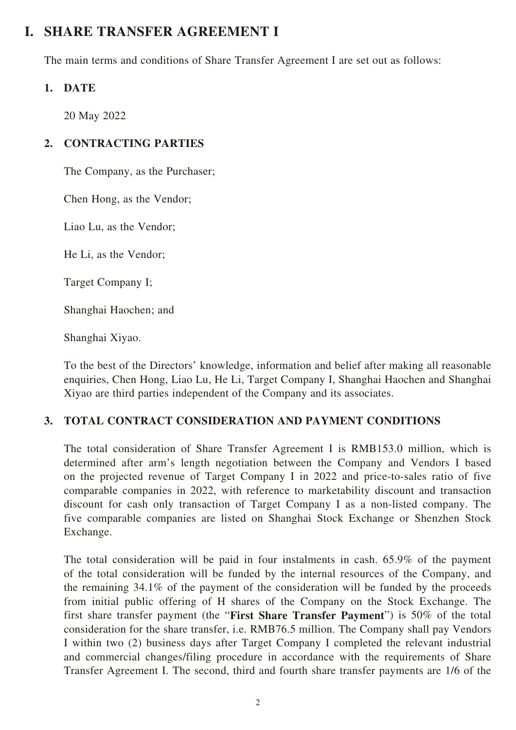## **I. SHARE TRANSFER AGREEMENT I**

The main terms and conditions of Share Transfer Agreement I are set out as follows:

## **1. DATE**

20 May 2022

## **2. CONTRACTING PARTIES**

The Company, as the Purchaser;

Chen Hong, as the Vendor;

Liao Lu, as the Vendor;

He Li, as the Vendor;

Target Company I;

Shanghai Haochen; and

Shanghai Xiyao.

To the best of the Directors' knowledge, information and belief after making all reasonable enquiries, Chen Hong, Liao Lu, He Li, Target Company I, Shanghai Haochen and Shanghai Xiyao are third parties independent of the Company and its associates.

## **3. TOTAL CONTRACT CONSIDERATION AND PAYMENT CONDITIONS**

The total consideration of Share Transfer Agreement I is RMB153.0 million, which is determined after arm's length negotiation between the Company and Vendors I based on the projected revenue of Target Company I in 2022 and price-to-sales ratio of five comparable companies in 2022, with reference to marketability discount and transaction discount for cash only transaction of Target Company I as a non-listed company. The five comparable companies are listed on Shanghai Stock Exchange or Shenzhen Stock Exchange.

The total consideration will be paid in four instalments in cash. 65.9% of the payment of the total consideration will be funded by the internal resources of the Company, and the remaining 34.1% of the payment of the consideration will be funded by the proceeds from initial public offering of H shares of the Company on the Stock Exchange. The first share transfer payment (the "**First Share Transfer Payment**") is 50% of the total consideration for the share transfer, i.e. RMB76.5 million. The Company shall pay Vendors I within two (2) business days after Target Company I completed the relevant industrial and commercial changes/filing procedure in accordance with the requirements of Share Transfer Agreement I. The second, third and fourth share transfer payments are 1/6 of the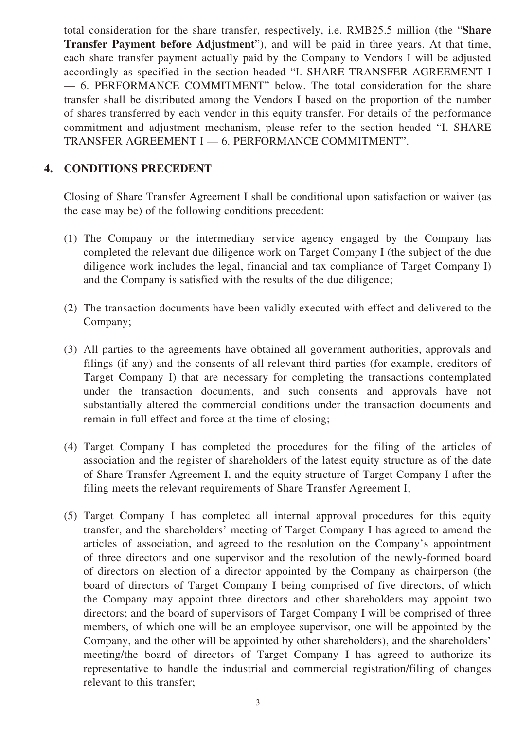total consideration for the share transfer, respectively, i.e. RMB25.5 million (the "**Share Transfer Payment before Adjustment**"), and will be paid in three years. At that time, each share transfer payment actually paid by the Company to Vendors I will be adjusted accordingly as specified in the section headed "I. SHARE TRANSFER AGREEMENT I — 6. PERFORMANCE COMMITMENT" below. The total consideration for the share transfer shall be distributed among the Vendors I based on the proportion of the number of shares transferred by each vendor in this equity transfer. For details of the performance commitment and adjustment mechanism, please refer to the section headed "I. SHARE TRANSFER AGREEMENT I — 6. PERFORMANCE COMMITMENT".

### **4. CONDITIONS PRECEDENT**

Closing of Share Transfer Agreement I shall be conditional upon satisfaction or waiver (as the case may be) of the following conditions precedent:

- (1) The Company or the intermediary service agency engaged by the Company has completed the relevant due diligence work on Target Company I (the subject of the due diligence work includes the legal, financial and tax compliance of Target Company I) and the Company is satisfied with the results of the due diligence;
- (2) The transaction documents have been validly executed with effect and delivered to the Company;
- (3) All parties to the agreements have obtained all government authorities, approvals and filings (if any) and the consents of all relevant third parties (for example, creditors of Target Company I) that are necessary for completing the transactions contemplated under the transaction documents, and such consents and approvals have not substantially altered the commercial conditions under the transaction documents and remain in full effect and force at the time of closing;
- (4) Target Company I has completed the procedures for the filing of the articles of association and the register of shareholders of the latest equity structure as of the date of Share Transfer Agreement I, and the equity structure of Target Company I after the filing meets the relevant requirements of Share Transfer Agreement I;
- (5) Target Company I has completed all internal approval procedures for this equity transfer, and the shareholders' meeting of Target Company I has agreed to amend the articles of association, and agreed to the resolution on the Company's appointment of three directors and one supervisor and the resolution of the newly-formed board of directors on election of a director appointed by the Company as chairperson (the board of directors of Target Company I being comprised of five directors, of which the Company may appoint three directors and other shareholders may appoint two directors; and the board of supervisors of Target Company I will be comprised of three members, of which one will be an employee supervisor, one will be appointed by the Company, and the other will be appointed by other shareholders), and the shareholders' meeting/the board of directors of Target Company I has agreed to authorize its representative to handle the industrial and commercial registration/filing of changes relevant to this transfer;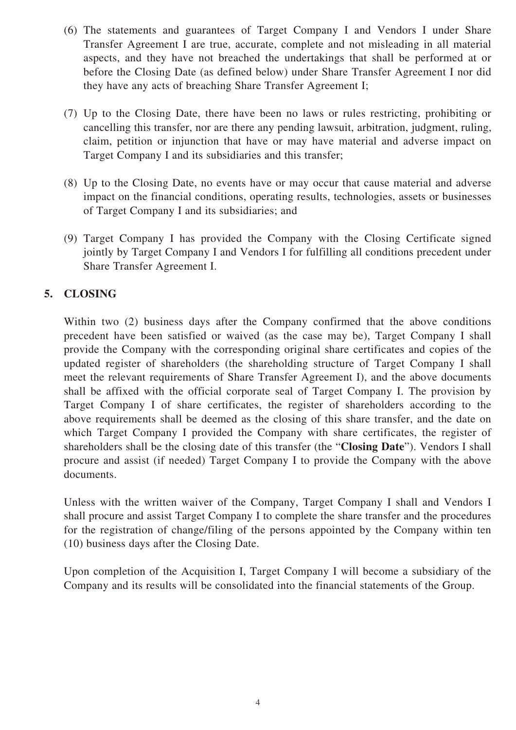- (6) The statements and guarantees of Target Company I and Vendors I under Share Transfer Agreement I are true, accurate, complete and not misleading in all material aspects, and they have not breached the undertakings that shall be performed at or before the Closing Date (as defined below) under Share Transfer Agreement I nor did they have any acts of breaching Share Transfer Agreement I;
- (7) Up to the Closing Date, there have been no laws or rules restricting, prohibiting or cancelling this transfer, nor are there any pending lawsuit, arbitration, judgment, ruling, claim, petition or injunction that have or may have material and adverse impact on Target Company I and its subsidiaries and this transfer;
- (8) Up to the Closing Date, no events have or may occur that cause material and adverse impact on the financial conditions, operating results, technologies, assets or businesses of Target Company I and its subsidiaries; and
- (9) Target Company I has provided the Company with the Closing Certificate signed jointly by Target Company I and Vendors I for fulfilling all conditions precedent under Share Transfer Agreement I.

## **5. CLOSING**

Within two (2) business days after the Company confirmed that the above conditions precedent have been satisfied or waived (as the case may be), Target Company I shall provide the Company with the corresponding original share certificates and copies of the updated register of shareholders (the shareholding structure of Target Company I shall meet the relevant requirements of Share Transfer Agreement I), and the above documents shall be affixed with the official corporate seal of Target Company I. The provision by Target Company I of share certificates, the register of shareholders according to the above requirements shall be deemed as the closing of this share transfer, and the date on which Target Company I provided the Company with share certificates, the register of shareholders shall be the closing date of this transfer (the "**Closing Date**"). Vendors I shall procure and assist (if needed) Target Company I to provide the Company with the above documents.

Unless with the written waiver of the Company, Target Company I shall and Vendors I shall procure and assist Target Company I to complete the share transfer and the procedures for the registration of change/filing of the persons appointed by the Company within ten (10) business days after the Closing Date.

Upon completion of the Acquisition I, Target Company I will become a subsidiary of the Company and its results will be consolidated into the financial statements of the Group.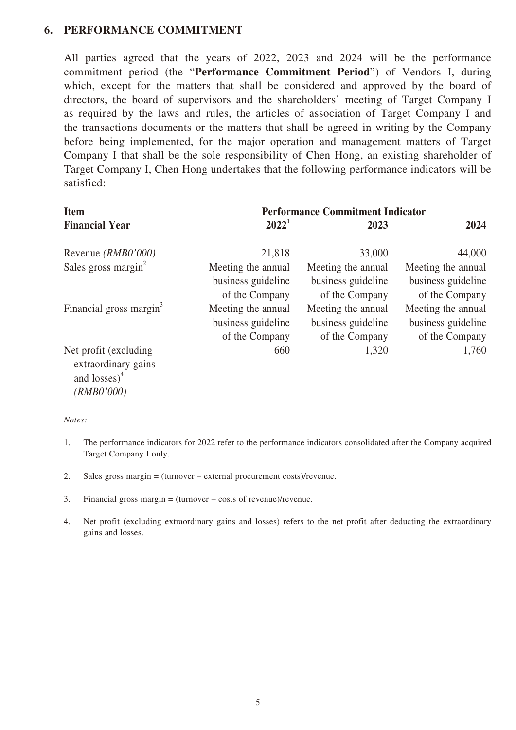### **6. PERFORMANCE COMMITMENT**

All parties agreed that the years of 2022, 2023 and 2024 will be the performance commitment period (the "**Performance Commitment Period**") of Vendors I, during which, except for the matters that shall be considered and approved by the board of directors, the board of supervisors and the shareholders' meeting of Target Company I as required by the laws and rules, the articles of association of Target Company I and the transactions documents or the matters that shall be agreed in writing by the Company before being implemented, for the major operation and management matters of Target Company I that shall be the sole responsibility of Chen Hong, an existing shareholder of Target Company I, Chen Hong undertakes that the following performance indicators will be satisfied:

| <b>Item</b>                                                      | <b>Performance Commitment Indicator</b> |                    |                    |
|------------------------------------------------------------------|-----------------------------------------|--------------------|--------------------|
| <b>Financial Year</b>                                            | $2022^1$                                | 2023               | 2024               |
| Revenue (RMB0'000)                                               | 21,818                                  | 33,000             | 44,000             |
| Sales gross margin <sup>2</sup>                                  | Meeting the annual                      | Meeting the annual | Meeting the annual |
|                                                                  | business guideline                      | business guideline | business guideline |
|                                                                  | of the Company                          | of the Company     | of the Company     |
| Financial gross margin <sup>3</sup>                              | Meeting the annual                      | Meeting the annual | Meeting the annual |
|                                                                  | business guideline                      | business guideline | business guideline |
|                                                                  | of the Company                          | of the Company     | of the Company     |
| Net profit (excluding)<br>extraordinary gains<br>and $losses)^4$ | 660                                     | 1,320              | 1,760              |

*Notes:*

*(RMB0'000)*

- 1. The performance indicators for 2022 refer to the performance indicators consolidated after the Company acquired Target Company I only.
- 2. Sales gross margin = (turnover external procurement costs)/revenue.
- 3. Financial gross margin = (turnover costs of revenue)/revenue.
- 4. Net profit (excluding extraordinary gains and losses) refers to the net profit after deducting the extraordinary gains and losses.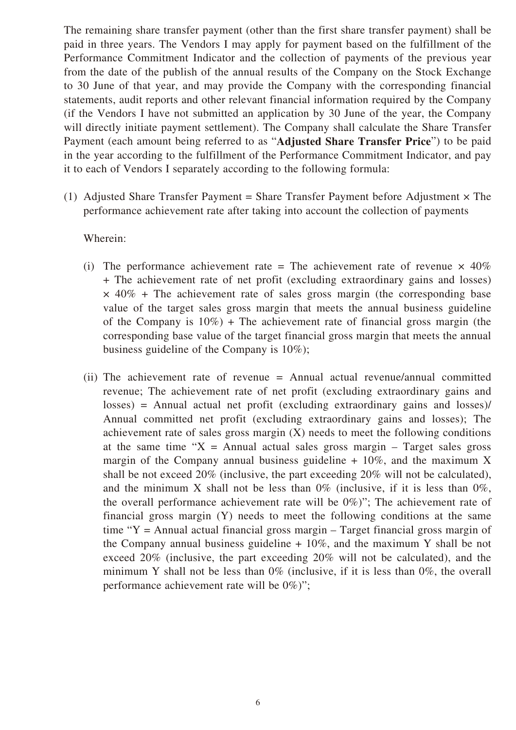The remaining share transfer payment (other than the first share transfer payment) shall be paid in three years. The Vendors I may apply for payment based on the fulfillment of the Performance Commitment Indicator and the collection of payments of the previous year from the date of the publish of the annual results of the Company on the Stock Exchange to 30 June of that year, and may provide the Company with the corresponding financial statements, audit reports and other relevant financial information required by the Company (if the Vendors I have not submitted an application by 30 June of the year, the Company will directly initiate payment settlement). The Company shall calculate the Share Transfer Payment (each amount being referred to as "**Adjusted Share Transfer Price**") to be paid in the year according to the fulfillment of the Performance Commitment Indicator, and pay it to each of Vendors I separately according to the following formula:

(1) Adjusted Share Transfer Payment = Share Transfer Payment before Adjustment  $\times$  The performance achievement rate after taking into account the collection of payments

Wherein:

- (i) The performance achievement rate = The achievement rate of revenue  $\times$  40% + The achievement rate of net profit (excluding extraordinary gains and losses)  $\times$  40% + The achievement rate of sales gross margin (the corresponding base value of the target sales gross margin that meets the annual business guideline of the Company is  $10\%$ ) + The achievement rate of financial gross margin (the corresponding base value of the target financial gross margin that meets the annual business guideline of the Company is 10%);
- (ii) The achievement rate of revenue = Annual actual revenue/annual committed revenue; The achievement rate of net profit (excluding extraordinary gains and losses) = Annual actual net profit (excluding extraordinary gains and losses)/ Annual committed net profit (excluding extraordinary gains and losses); The achievement rate of sales gross margin  $(X)$  needs to meet the following conditions at the same time " $X =$  Annual actual sales gross margin – Target sales gross margin of the Company annual business guideline  $+10\%$ , and the maximum X shall be not exceed 20% (inclusive, the part exceeding 20% will not be calculated), and the minimum X shall not be less than  $0\%$  (inclusive, if it is less than  $0\%$ , the overall performance achievement rate will be 0%)"; The achievement rate of financial gross margin (Y) needs to meet the following conditions at the same time "Y = Annual actual financial gross margin – Target financial gross margin of the Company annual business guideline  $+10\%$ , and the maximum Y shall be not exceed 20% (inclusive, the part exceeding 20% will not be calculated), and the minimum Y shall not be less than 0% (inclusive, if it is less than 0%, the overall performance achievement rate will be 0%)";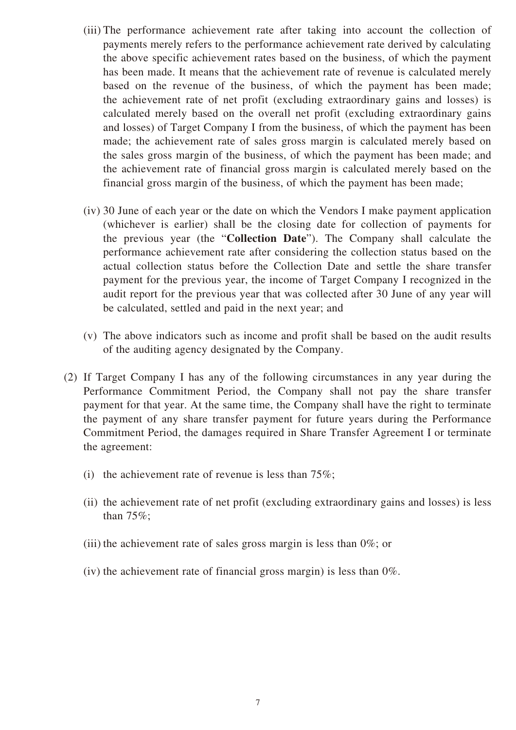- (iii) The performance achievement rate after taking into account the collection of payments merely refers to the performance achievement rate derived by calculating the above specific achievement rates based on the business, of which the payment has been made. It means that the achievement rate of revenue is calculated merely based on the revenue of the business, of which the payment has been made; the achievement rate of net profit (excluding extraordinary gains and losses) is calculated merely based on the overall net profit (excluding extraordinary gains and losses) of Target Company I from the business, of which the payment has been made; the achievement rate of sales gross margin is calculated merely based on the sales gross margin of the business, of which the payment has been made; and the achievement rate of financial gross margin is calculated merely based on the financial gross margin of the business, of which the payment has been made;
- (iv) 30 June of each year or the date on which the Vendors I make payment application (whichever is earlier) shall be the closing date for collection of payments for the previous year (the "**Collection Date**"). The Company shall calculate the performance achievement rate after considering the collection status based on the actual collection status before the Collection Date and settle the share transfer payment for the previous year, the income of Target Company I recognized in the audit report for the previous year that was collected after 30 June of any year will be calculated, settled and paid in the next year; and
- (v) The above indicators such as income and profit shall be based on the audit results of the auditing agency designated by the Company.
- (2) If Target Company I has any of the following circumstances in any year during the Performance Commitment Period, the Company shall not pay the share transfer payment for that year. At the same time, the Company shall have the right to terminate the payment of any share transfer payment for future years during the Performance Commitment Period, the damages required in Share Transfer Agreement I or terminate the agreement:
	- (i) the achievement rate of revenue is less than  $75\%$ ;
	- (ii) the achievement rate of net profit (excluding extraordinary gains and losses) is less than 75%;
	- (iii) the achievement rate of sales gross margin is less than 0%; or
	- (iv) the achievement rate of financial gross margin) is less than 0%.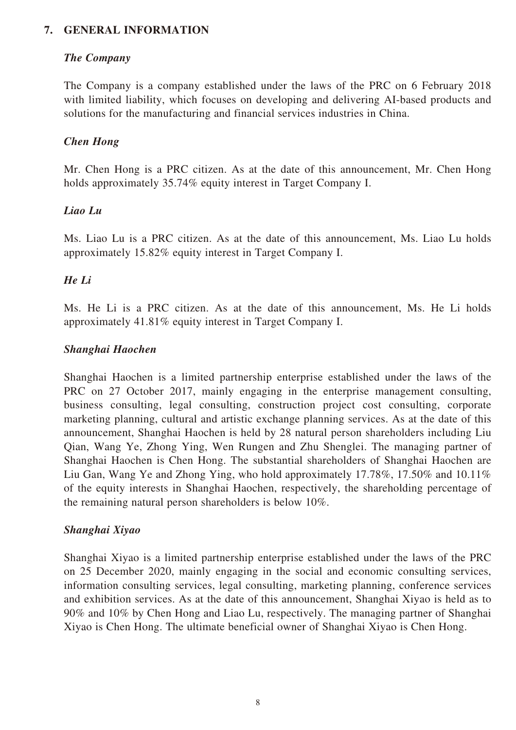### **7. GENERAL INFORMATION**

### *The Company*

The Company is a company established under the laws of the PRC on 6 February 2018 with limited liability, which focuses on developing and delivering AI-based products and solutions for the manufacturing and financial services industries in China.

### *Chen Hong*

Mr. Chen Hong is a PRC citizen. As at the date of this announcement, Mr. Chen Hong holds approximately 35.74% equity interest in Target Company I.

#### *Liao Lu*

Ms. Liao Lu is a PRC citizen. As at the date of this announcement, Ms. Liao Lu holds approximately 15.82% equity interest in Target Company I.

### *He Li*

Ms. He Li is a PRC citizen. As at the date of this announcement, Ms. He Li holds approximately 41.81% equity interest in Target Company I.

#### *Shanghai Haochen*

Shanghai Haochen is a limited partnership enterprise established under the laws of the PRC on 27 October 2017, mainly engaging in the enterprise management consulting, business consulting, legal consulting, construction project cost consulting, corporate marketing planning, cultural and artistic exchange planning services. As at the date of this announcement, Shanghai Haochen is held by 28 natural person shareholders including Liu Qian, Wang Ye, Zhong Ying, Wen Rungen and Zhu Shenglei. The managing partner of Shanghai Haochen is Chen Hong. The substantial shareholders of Shanghai Haochen are Liu Gan, Wang Ye and Zhong Ying, who hold approximately 17.78%, 17.50% and 10.11% of the equity interests in Shanghai Haochen, respectively, the shareholding percentage of the remaining natural person shareholders is below 10%.

#### *Shanghai Xiyao*

Shanghai Xiyao is a limited partnership enterprise established under the laws of the PRC on 25 December 2020, mainly engaging in the social and economic consulting services, information consulting services, legal consulting, marketing planning, conference services and exhibition services. As at the date of this announcement, Shanghai Xiyao is held as to 90% and 10% by Chen Hong and Liao Lu, respectively. The managing partner of Shanghai Xiyao is Chen Hong. The ultimate beneficial owner of Shanghai Xiyao is Chen Hong.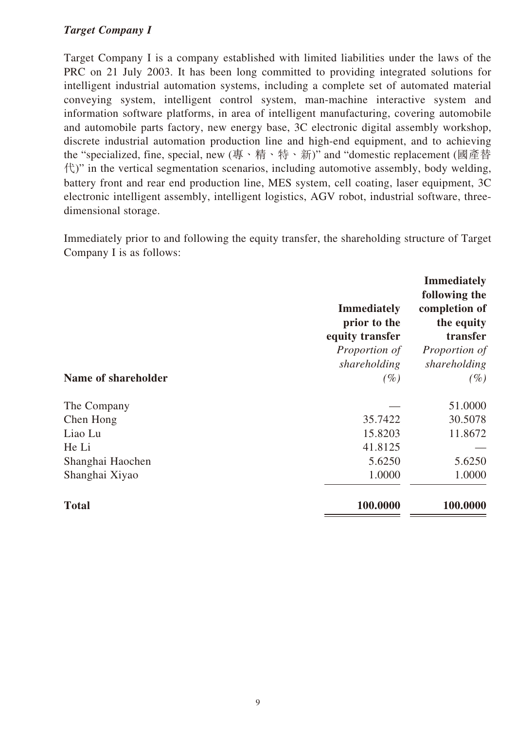### *Target Company I*

Target Company I is a company established with limited liabilities under the laws of the PRC on 21 July 2003. It has been long committed to providing integrated solutions for intelligent industrial automation systems, including a complete set of automated material conveying system, intelligent control system, man-machine interactive system and information software platforms, in area of intelligent manufacturing, covering automobile and automobile parts factory, new energy base, 3C electronic digital assembly workshop, discrete industrial automation production line and high-end equipment, and to achieving the "specialized, fine, special, new (專、精、特、新)" and "domestic replacement (國產替  $\langle \uparrow \rangle$ " in the vertical segmentation scenarios, including automotive assembly, body welding, battery front and rear end production line, MES system, cell coating, laser equipment, 3C electronic intelligent assembly, intelligent logistics, AGV robot, industrial software, threedimensional storage.

Immediately prior to and following the equity transfer, the shareholding structure of Target Company I is as follows:

|                     | <b>Immediately</b><br>prior to the<br>equity transfer<br>Proportion of | <b>Immediately</b><br>following the<br>completion of<br>the equity<br>transfer<br>Proportion of |
|---------------------|------------------------------------------------------------------------|-------------------------------------------------------------------------------------------------|
| Name of shareholder | shareholding<br>$(\%)$                                                 | shareholding<br>$(\%)$                                                                          |
| The Company         |                                                                        | 51.0000                                                                                         |
| Chen Hong           | 35.7422                                                                | 30.5078                                                                                         |
| Liao Lu             | 15.8203                                                                | 11.8672                                                                                         |
| He Li               | 41.8125                                                                |                                                                                                 |
| Shanghai Haochen    | 5.6250                                                                 | 5.6250                                                                                          |
| Shanghai Xiyao      | 1.0000                                                                 | 1.0000                                                                                          |
| <b>Total</b>        | 100.0000                                                               | 100.0000                                                                                        |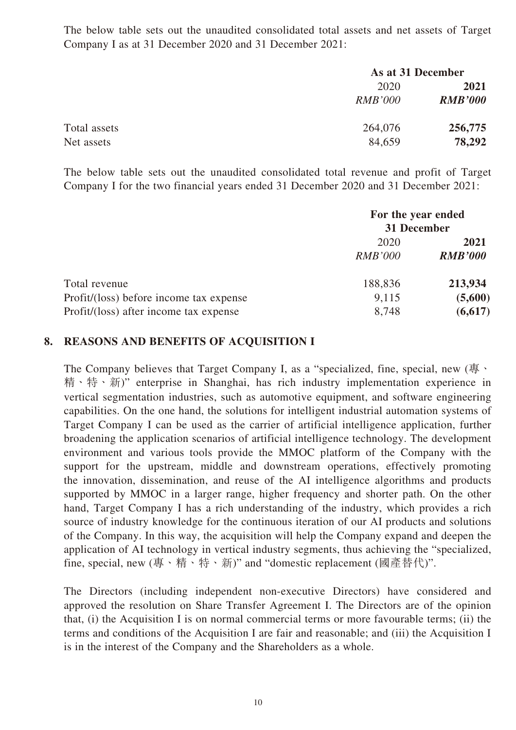The below table sets out the unaudited consolidated total assets and net assets of Target Company I as at 31 December 2020 and 31 December 2021:

|              |                | As at 31 December |  |
|--------------|----------------|-------------------|--|
|              | 2020           | 2021              |  |
|              | <i>RMB'000</i> | <b>RMB'000</b>    |  |
| Total assets | 264,076        | 256,775           |  |
| Net assets   | 84,659         | 78,292            |  |

The below table sets out the unaudited consolidated total revenue and profit of Target Company I for the two financial years ended 31 December 2020 and 31 December 2021:

|                                         | For the year ended<br>31 December |                |
|-----------------------------------------|-----------------------------------|----------------|
|                                         | 2020                              | 2021           |
|                                         | <b>RMB'000</b>                    | <b>RMB'000</b> |
| Total revenue                           | 188,836                           | 213,934        |
| Profit/(loss) before income tax expense | 9,115                             | (5,600)        |
| Profit/(loss) after income tax expense  | 8,748                             | (6, 617)       |

### **8. REASONS AND BENEFITS OF ACQUISITION I**

The Company believes that Target Company I, as a "specialized, fine, special, new  $(\frac{\pi}{})$ 精、特、新)" enterprise in Shanghai, has rich industry implementation experience in vertical segmentation industries, such as automotive equipment, and software engineering capabilities. On the one hand, the solutions for intelligent industrial automation systems of Target Company I can be used as the carrier of artificial intelligence application, further broadening the application scenarios of artificial intelligence technology. The development environment and various tools provide the MMOC platform of the Company with the support for the upstream, middle and downstream operations, effectively promoting the innovation, dissemination, and reuse of the AI intelligence algorithms and products supported by MMOC in a larger range, higher frequency and shorter path. On the other hand, Target Company I has a rich understanding of the industry, which provides a rich source of industry knowledge for the continuous iteration of our AI products and solutions of the Company. In this way, the acquisition will help the Company expand and deepen the application of AI technology in vertical industry segments, thus achieving the "specialized, fine, special, new (專、精、特、新)" and "domestic replacement (國產替代)".

The Directors (including independent non-executive Directors) have considered and approved the resolution on Share Transfer Agreement I. The Directors are of the opinion that, (i) the Acquisition I is on normal commercial terms or more favourable terms; (ii) the terms and conditions of the Acquisition I are fair and reasonable; and (iii) the Acquisition I is in the interest of the Company and the Shareholders as a whole.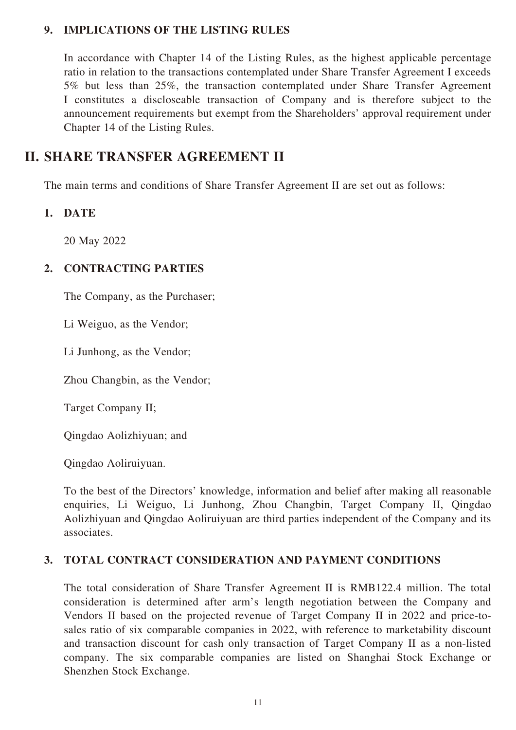### **9. IMPLICATIONS OF THE LISTING RULES**

In accordance with Chapter 14 of the Listing Rules, as the highest applicable percentage ratio in relation to the transactions contemplated under Share Transfer Agreement I exceeds 5% but less than 25%, the transaction contemplated under Share Transfer Agreement I constitutes a discloseable transaction of Company and is therefore subject to the announcement requirements but exempt from the Shareholders' approval requirement under Chapter 14 of the Listing Rules.

## **II. SHARE TRANSFER AGREEMENT II**

The main terms and conditions of Share Transfer Agreement II are set out as follows:

### **1. DATE**

20 May 2022

## **2. CONTRACTING PARTIES**

The Company, as the Purchaser;

Li Weiguo, as the Vendor;

Li Junhong, as the Vendor;

Zhou Changbin, as the Vendor;

Target Company II;

Qingdao Aolizhiyuan; and

Qingdao Aoliruiyuan.

To the best of the Directors' knowledge, information and belief after making all reasonable enquiries, Li Weiguo, Li Junhong, Zhou Changbin, Target Company II, Qingdao Aolizhiyuan and Qingdao Aoliruiyuan are third parties independent of the Company and its associates.

### **3. TOTAL CONTRACT CONSIDERATION AND PAYMENT CONDITIONS**

The total consideration of Share Transfer Agreement II is RMB122.4 million. The total consideration is determined after arm's length negotiation between the Company and Vendors II based on the projected revenue of Target Company II in 2022 and price-tosales ratio of six comparable companies in 2022, with reference to marketability discount and transaction discount for cash only transaction of Target Company II as a non-listed company. The six comparable companies are listed on Shanghai Stock Exchange or Shenzhen Stock Exchange.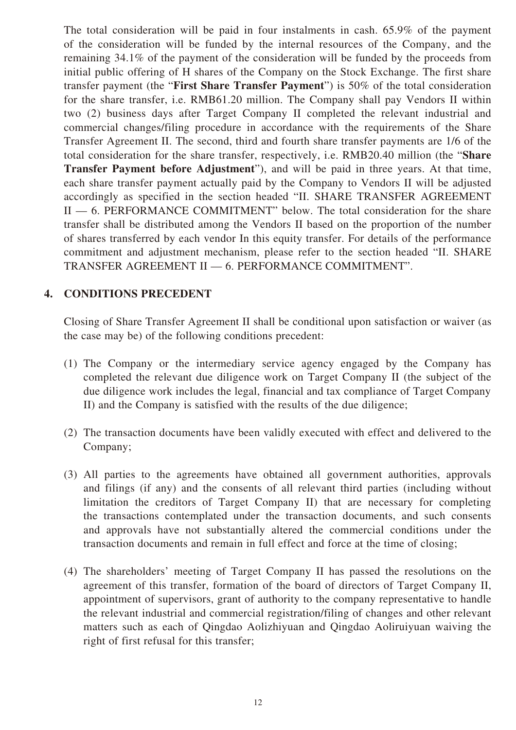The total consideration will be paid in four instalments in cash. 65.9% of the payment of the consideration will be funded by the internal resources of the Company, and the remaining 34.1% of the payment of the consideration will be funded by the proceeds from initial public offering of H shares of the Company on the Stock Exchange. The first share transfer payment (the "**First Share Transfer Payment**") is 50% of the total consideration for the share transfer, i.e. RMB61.20 million. The Company shall pay Vendors II within two (2) business days after Target Company II completed the relevant industrial and commercial changes/filing procedure in accordance with the requirements of the Share Transfer Agreement II. The second, third and fourth share transfer payments are 1/6 of the total consideration for the share transfer, respectively, i.e. RMB20.40 million (the "**Share Transfer Payment before Adjustment**"), and will be paid in three years. At that time, each share transfer payment actually paid by the Company to Vendors II will be adjusted accordingly as specified in the section headed "II. SHARE TRANSFER AGREEMENT II — 6. PERFORMANCE COMMITMENT" below. The total consideration for the share transfer shall be distributed among the Vendors II based on the proportion of the number of shares transferred by each vendor In this equity transfer. For details of the performance commitment and adjustment mechanism, please refer to the section headed "II. SHARE TRANSFER AGREEMENT II — 6. PERFORMANCE COMMITMENT".

### **4. CONDITIONS PRECEDENT**

Closing of Share Transfer Agreement II shall be conditional upon satisfaction or waiver (as the case may be) of the following conditions precedent:

- (1) The Company or the intermediary service agency engaged by the Company has completed the relevant due diligence work on Target Company II (the subject of the due diligence work includes the legal, financial and tax compliance of Target Company II) and the Company is satisfied with the results of the due diligence;
- (2) The transaction documents have been validly executed with effect and delivered to the Company;
- (3) All parties to the agreements have obtained all government authorities, approvals and filings (if any) and the consents of all relevant third parties (including without limitation the creditors of Target Company II) that are necessary for completing the transactions contemplated under the transaction documents, and such consents and approvals have not substantially altered the commercial conditions under the transaction documents and remain in full effect and force at the time of closing;
- (4) The shareholders' meeting of Target Company II has passed the resolutions on the agreement of this transfer, formation of the board of directors of Target Company II, appointment of supervisors, grant of authority to the company representative to handle the relevant industrial and commercial registration/filing of changes and other relevant matters such as each of Qingdao Aolizhiyuan and Qingdao Aoliruiyuan waiving the right of first refusal for this transfer;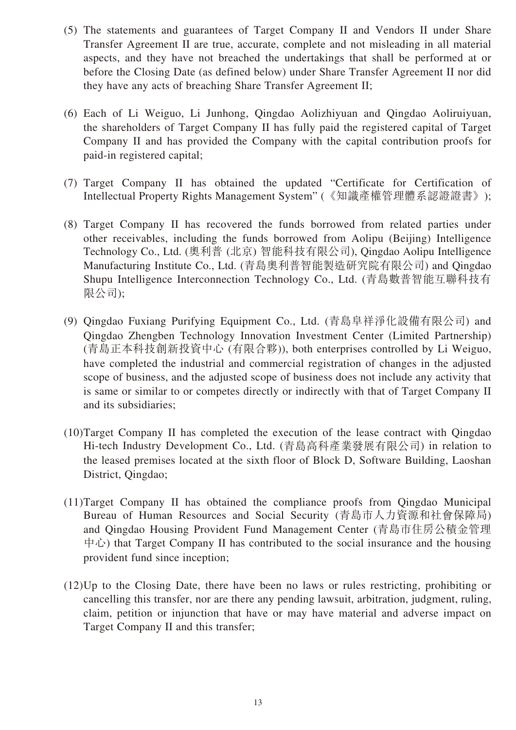- (5) The statements and guarantees of Target Company II and Vendors II under Share Transfer Agreement II are true, accurate, complete and not misleading in all material aspects, and they have not breached the undertakings that shall be performed at or before the Closing Date (as defined below) under Share Transfer Agreement II nor did they have any acts of breaching Share Transfer Agreement II;
- (6) Each of Li Weiguo, Li Junhong, Qingdao Aolizhiyuan and Qingdao Aoliruiyuan, the shareholders of Target Company II has fully paid the registered capital of Target Company II and has provided the Company with the capital contribution proofs for paid-in registered capital;
- (7) Target Company II has obtained the updated "Certificate for Certification of Intellectual Property Rights Management System" (《知識產權管理體系認證證書》);
- (8) Target Company II has recovered the funds borrowed from related parties under other receivables, including the funds borrowed from Aolipu (Beijing) Intelligence Technology Co., Ltd. (奧利普 (北京) 智能科技有限公司), Qingdao Aolipu Intelligence Manufacturing Institute Co., Ltd. (青島奧利普智能製造研究院有限公司) and Qingdao Shupu Intelligence Interconnection Technology Co., Ltd. (青島數普智能互聯科技有 限公司);
- (9) Qingdao Fuxiang Purifying Equipment Co., Ltd. (青島阜祥淨化設備有限公司) and Qingdao Zhengben Technology Innovation Investment Center (Limited Partnership) (青島正本科技創新投資中心 (有限合夥)), both enterprises controlled by Li Weiguo, have completed the industrial and commercial registration of changes in the adjusted scope of business, and the adjusted scope of business does not include any activity that is same or similar to or competes directly or indirectly with that of Target Company II and its subsidiaries;
- (10)Target Company II has completed the execution of the lease contract with Qingdao Hi-tech Industry Development Co., Ltd. (青島高科產業發展有限公司) in relation to the leased premises located at the sixth floor of Block D, Software Building, Laoshan District, Qingdao;
- (11)Target Company II has obtained the compliance proofs from Qingdao Municipal Bureau of Human Resources and Social Security (青島市人力資源和社會保障局) and Qingdao Housing Provident Fund Management Center (青島市住房公積金管理 中心) that Target Company II has contributed to the social insurance and the housing provident fund since inception;
- (12)Up to the Closing Date, there have been no laws or rules restricting, prohibiting or cancelling this transfer, nor are there any pending lawsuit, arbitration, judgment, ruling, claim, petition or injunction that have or may have material and adverse impact on Target Company II and this transfer;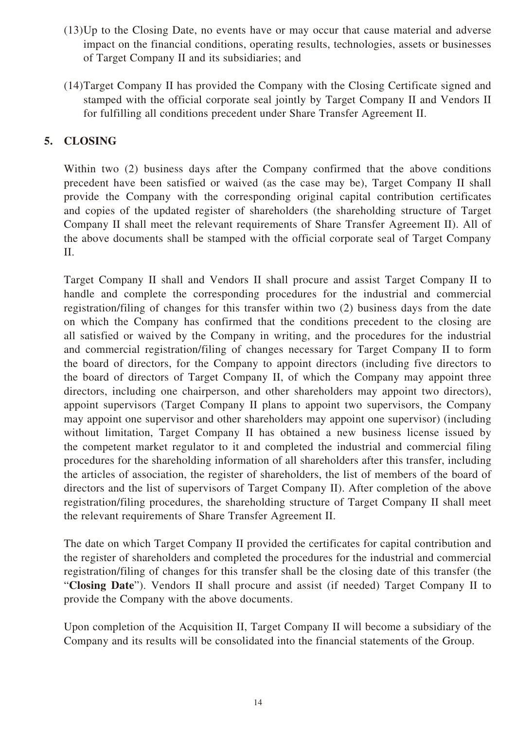- (13)Up to the Closing Date, no events have or may occur that cause material and adverse impact on the financial conditions, operating results, technologies, assets or businesses of Target Company II and its subsidiaries; and
- (14)Target Company II has provided the Company with the Closing Certificate signed and stamped with the official corporate seal jointly by Target Company II and Vendors II for fulfilling all conditions precedent under Share Transfer Agreement II.

## **5. CLOSING**

Within two (2) business days after the Company confirmed that the above conditions precedent have been satisfied or waived (as the case may be), Target Company II shall provide the Company with the corresponding original capital contribution certificates and copies of the updated register of shareholders (the shareholding structure of Target Company II shall meet the relevant requirements of Share Transfer Agreement II). All of the above documents shall be stamped with the official corporate seal of Target Company II.

Target Company II shall and Vendors II shall procure and assist Target Company II to handle and complete the corresponding procedures for the industrial and commercial registration/filing of changes for this transfer within two (2) business days from the date on which the Company has confirmed that the conditions precedent to the closing are all satisfied or waived by the Company in writing, and the procedures for the industrial and commercial registration/filing of changes necessary for Target Company II to form the board of directors, for the Company to appoint directors (including five directors to the board of directors of Target Company II, of which the Company may appoint three directors, including one chairperson, and other shareholders may appoint two directors), appoint supervisors (Target Company II plans to appoint two supervisors, the Company may appoint one supervisor and other shareholders may appoint one supervisor) (including without limitation, Target Company II has obtained a new business license issued by the competent market regulator to it and completed the industrial and commercial filing procedures for the shareholding information of all shareholders after this transfer, including the articles of association, the register of shareholders, the list of members of the board of directors and the list of supervisors of Target Company II). After completion of the above registration/filing procedures, the shareholding structure of Target Company II shall meet the relevant requirements of Share Transfer Agreement II.

The date on which Target Company II provided the certificates for capital contribution and the register of shareholders and completed the procedures for the industrial and commercial registration/filing of changes for this transfer shall be the closing date of this transfer (the "**Closing Date**"). Vendors II shall procure and assist (if needed) Target Company II to provide the Company with the above documents.

Upon completion of the Acquisition II, Target Company II will become a subsidiary of the Company and its results will be consolidated into the financial statements of the Group.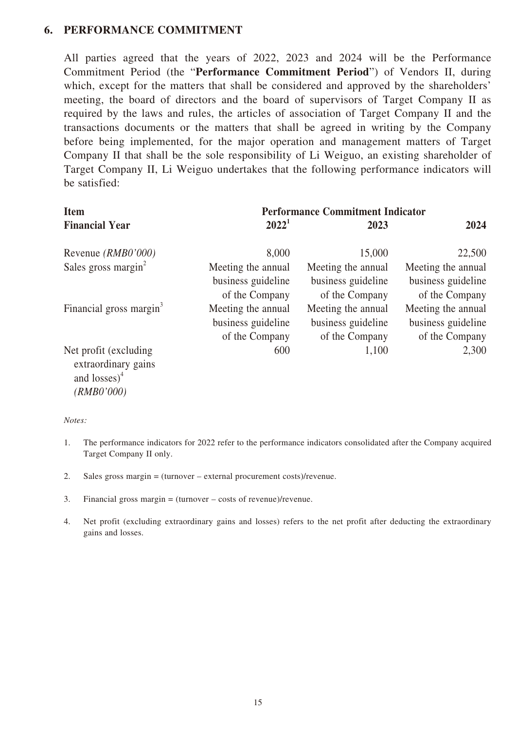### **6. PERFORMANCE COMMITMENT**

All parties agreed that the years of 2022, 2023 and 2024 will be the Performance Commitment Period (the "**Performance Commitment Period**") of Vendors II, during which, except for the matters that shall be considered and approved by the shareholders' meeting, the board of directors and the board of supervisors of Target Company II as required by the laws and rules, the articles of association of Target Company II and the transactions documents or the matters that shall be agreed in writing by the Company before being implemented, for the major operation and management matters of Target Company II that shall be the sole responsibility of Li Weiguo, an existing shareholder of Target Company II, Li Weiguo undertakes that the following performance indicators will be satisfied:

| <b>Item</b>                                                      | <b>Performance Commitment Indicator</b> |                    |                    |
|------------------------------------------------------------------|-----------------------------------------|--------------------|--------------------|
| <b>Financial Year</b>                                            | $2022^1$                                | 2023               | 2024               |
| Revenue (RMB0'000)                                               | 8,000                                   | 15,000             | 22,500             |
| Sales gross margin <sup>2</sup>                                  | Meeting the annual                      | Meeting the annual | Meeting the annual |
|                                                                  | business guideline                      | business guideline | business guideline |
|                                                                  | of the Company                          | of the Company     | of the Company     |
| Financial gross margin <sup>3</sup>                              | Meeting the annual                      | Meeting the annual | Meeting the annual |
|                                                                  | business guideline                      | business guideline | business guideline |
|                                                                  | of the Company                          | of the Company     | of the Company     |
| Net profit (excluding)<br>extraordinary gains<br>and $losses)^4$ | 600                                     | 1,100              | 2,300              |

*Notes:*

*(RMB0'000)*

- 1. The performance indicators for 2022 refer to the performance indicators consolidated after the Company acquired Target Company II only.
- 2. Sales gross margin = (turnover external procurement costs)/revenue.
- 3. Financial gross margin = (turnover costs of revenue)/revenue.
- 4. Net profit (excluding extraordinary gains and losses) refers to the net profit after deducting the extraordinary gains and losses.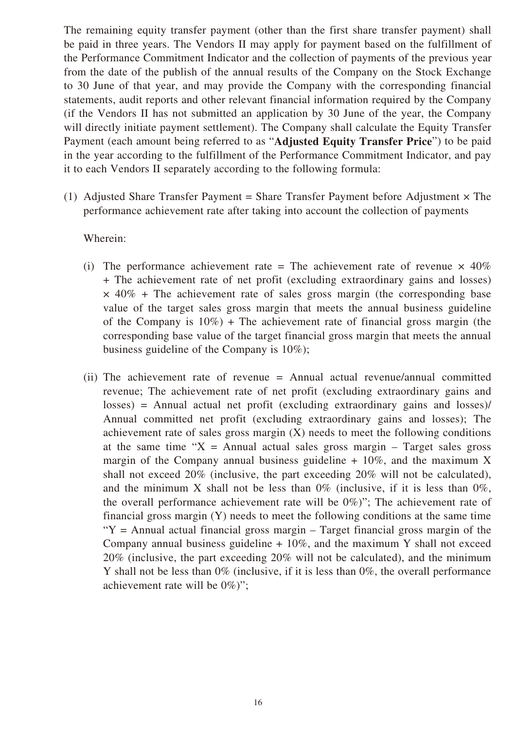The remaining equity transfer payment (other than the first share transfer payment) shall be paid in three years. The Vendors II may apply for payment based on the fulfillment of the Performance Commitment Indicator and the collection of payments of the previous year from the date of the publish of the annual results of the Company on the Stock Exchange to 30 June of that year, and may provide the Company with the corresponding financial statements, audit reports and other relevant financial information required by the Company (if the Vendors II has not submitted an application by 30 June of the year, the Company will directly initiate payment settlement). The Company shall calculate the Equity Transfer Payment (each amount being referred to as "**Adjusted Equity Transfer Price**") to be paid in the year according to the fulfillment of the Performance Commitment Indicator, and pay it to each Vendors II separately according to the following formula:

(1) Adjusted Share Transfer Payment = Share Transfer Payment before Adjustment  $\times$  The performance achievement rate after taking into account the collection of payments

Wherein:

- (i) The performance achievement rate = The achievement rate of revenue  $\times$  40% + The achievement rate of net profit (excluding extraordinary gains and losses)  $\times$  40% + The achievement rate of sales gross margin (the corresponding base value of the target sales gross margin that meets the annual business guideline of the Company is  $10\%$ ) + The achievement rate of financial gross margin (the corresponding base value of the target financial gross margin that meets the annual business guideline of the Company is 10%);
- (ii) The achievement rate of revenue = Annual actual revenue/annual committed revenue; The achievement rate of net profit (excluding extraordinary gains and losses) = Annual actual net profit (excluding extraordinary gains and losses)/ Annual committed net profit (excluding extraordinary gains and losses); The achievement rate of sales gross margin  $(X)$  needs to meet the following conditions at the same time " $X =$  Annual actual sales gross margin – Target sales gross margin of the Company annual business guideline  $+10\%$ , and the maximum X shall not exceed 20% (inclusive, the part exceeding 20% will not be calculated), and the minimum X shall not be less than  $0\%$  (inclusive, if it is less than  $0\%$ , the overall performance achievement rate will be 0%)"; The achievement rate of financial gross margin (Y) needs to meet the following conditions at the same time " $Y =$  Annual actual financial gross margin – Target financial gross margin of the Company annual business guideline  $+10\%$ , and the maximum Y shall not exceed 20% (inclusive, the part exceeding 20% will not be calculated), and the minimum Y shall not be less than 0% (inclusive, if it is less than 0%, the overall performance achievement rate will be 0%)";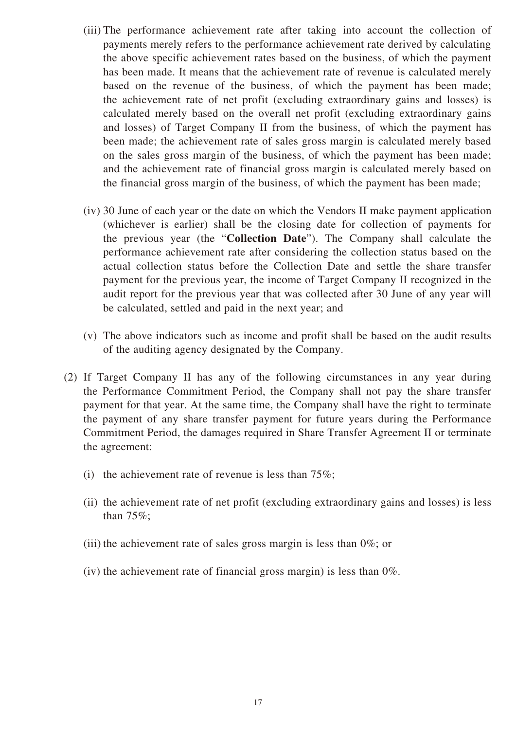- (iii) The performance achievement rate after taking into account the collection of payments merely refers to the performance achievement rate derived by calculating the above specific achievement rates based on the business, of which the payment has been made. It means that the achievement rate of revenue is calculated merely based on the revenue of the business, of which the payment has been made; the achievement rate of net profit (excluding extraordinary gains and losses) is calculated merely based on the overall net profit (excluding extraordinary gains and losses) of Target Company II from the business, of which the payment has been made; the achievement rate of sales gross margin is calculated merely based on the sales gross margin of the business, of which the payment has been made; and the achievement rate of financial gross margin is calculated merely based on the financial gross margin of the business, of which the payment has been made;
- (iv) 30 June of each year or the date on which the Vendors II make payment application (whichever is earlier) shall be the closing date for collection of payments for the previous year (the "**Collection Date**"). The Company shall calculate the performance achievement rate after considering the collection status based on the actual collection status before the Collection Date and settle the share transfer payment for the previous year, the income of Target Company II recognized in the audit report for the previous year that was collected after 30 June of any year will be calculated, settled and paid in the next year; and
- (v) The above indicators such as income and profit shall be based on the audit results of the auditing agency designated by the Company.
- (2) If Target Company II has any of the following circumstances in any year during the Performance Commitment Period, the Company shall not pay the share transfer payment for that year. At the same time, the Company shall have the right to terminate the payment of any share transfer payment for future years during the Performance Commitment Period, the damages required in Share Transfer Agreement II or terminate the agreement:
	- (i) the achievement rate of revenue is less than  $75\%$ ;
	- (ii) the achievement rate of net profit (excluding extraordinary gains and losses) is less than 75%;
	- (iii) the achievement rate of sales gross margin is less than 0%; or
	- (iv) the achievement rate of financial gross margin) is less than 0%.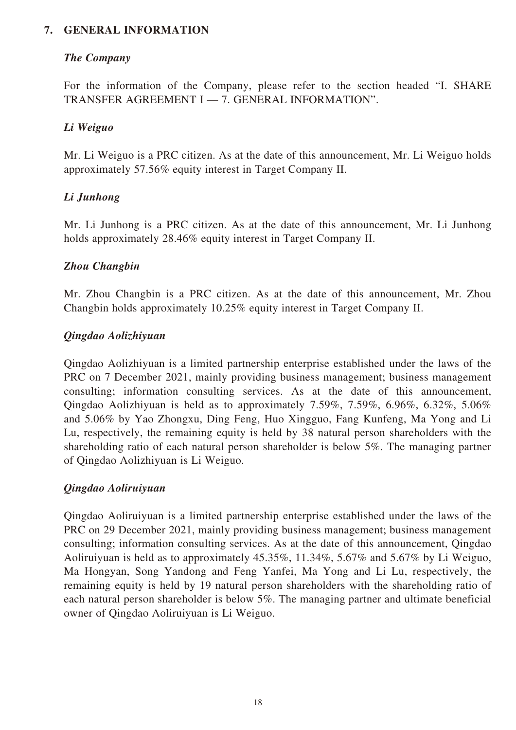### **7. GENERAL INFORMATION**

### *The Company*

For the information of the Company, please refer to the section headed "I. SHARE TRANSFER AGREEMENT I — 7. GENERAL INFORMATION".

### *Li Weiguo*

Mr. Li Weiguo is a PRC citizen. As at the date of this announcement, Mr. Li Weiguo holds approximately 57.56% equity interest in Target Company II.

### *Li Junhong*

Mr. Li Junhong is a PRC citizen. As at the date of this announcement, Mr. Li Junhong holds approximately 28.46% equity interest in Target Company II.

#### *Zhou Changbin*

Mr. Zhou Changbin is a PRC citizen. As at the date of this announcement, Mr. Zhou Changbin holds approximately 10.25% equity interest in Target Company II.

#### *Qingdao Aolizhiyuan*

Qingdao Aolizhiyuan is a limited partnership enterprise established under the laws of the PRC on 7 December 2021, mainly providing business management; business management consulting; information consulting services. As at the date of this announcement, Qingdao Aolizhiyuan is held as to approximately 7.59%, 7.59%, 6.96%, 6.32%, 5.06% and 5.06% by Yao Zhongxu, Ding Feng, Huo Xingguo, Fang Kunfeng, Ma Yong and Li Lu, respectively, the remaining equity is held by 38 natural person shareholders with the shareholding ratio of each natural person shareholder is below 5%. The managing partner of Qingdao Aolizhiyuan is Li Weiguo.

### *Qingdao Aoliruiyuan*

Qingdao Aoliruiyuan is a limited partnership enterprise established under the laws of the PRC on 29 December 2021, mainly providing business management; business management consulting; information consulting services. As at the date of this announcement, Qingdao Aoliruiyuan is held as to approximately 45.35%, 11.34%, 5.67% and 5.67% by Li Weiguo, Ma Hongyan, Song Yandong and Feng Yanfei, Ma Yong and Li Lu, respectively, the remaining equity is held by 19 natural person shareholders with the shareholding ratio of each natural person shareholder is below 5%. The managing partner and ultimate beneficial owner of Qingdao Aoliruiyuan is Li Weiguo.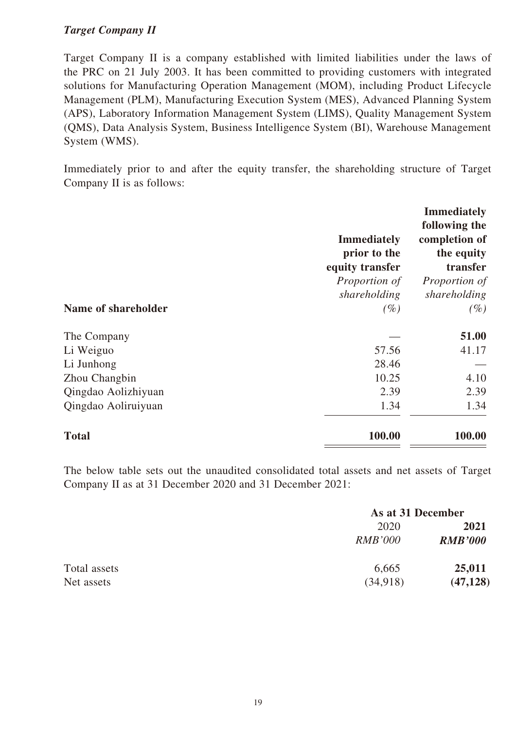### *Target Company II*

Target Company II is a company established with limited liabilities under the laws of the PRC on 21 July 2003. It has been committed to providing customers with integrated solutions for Manufacturing Operation Management (MOM), including Product Lifecycle Management (PLM), Manufacturing Execution System (MES), Advanced Planning System (APS), Laboratory Information Management System (LIMS), Quality Management System (QMS), Data Analysis System, Business Intelligence System (BI), Warehouse Management System (WMS).

Immediately prior to and after the equity transfer, the shareholding structure of Target Company II is as follows:

|                     | <b>Immediately</b><br>prior to the<br>equity transfer<br>Proportion of | <b>Immediately</b><br>following the<br>completion of<br>the equity<br>transfer<br>Proportion of |
|---------------------|------------------------------------------------------------------------|-------------------------------------------------------------------------------------------------|
|                     | shareholding                                                           | shareholding                                                                                    |
| Name of shareholder | $(\%)$                                                                 | $(\%)$                                                                                          |
| The Company         |                                                                        | 51.00                                                                                           |
| Li Weiguo           | 57.56                                                                  | 41.17                                                                                           |
| Li Junhong          | 28.46                                                                  |                                                                                                 |
| Zhou Changbin       | 10.25                                                                  | 4.10                                                                                            |
| Qingdao Aolizhiyuan | 2.39                                                                   | 2.39                                                                                            |
| Qingdao Aoliruiyuan | 1.34                                                                   | 1.34                                                                                            |
| <b>Total</b>        | 100.00                                                                 | 100.00                                                                                          |

The below table sets out the unaudited consolidated total assets and net assets of Target Company II as at 31 December 2020 and 31 December 2021:

|              |                | As at 31 December |  |
|--------------|----------------|-------------------|--|
|              | 2020           | 2021              |  |
|              | <i>RMB'000</i> | <b>RMB'000</b>    |  |
| Total assets | 6,665          | 25,011            |  |
| Net assets   | (34,918)       | (47, 128)         |  |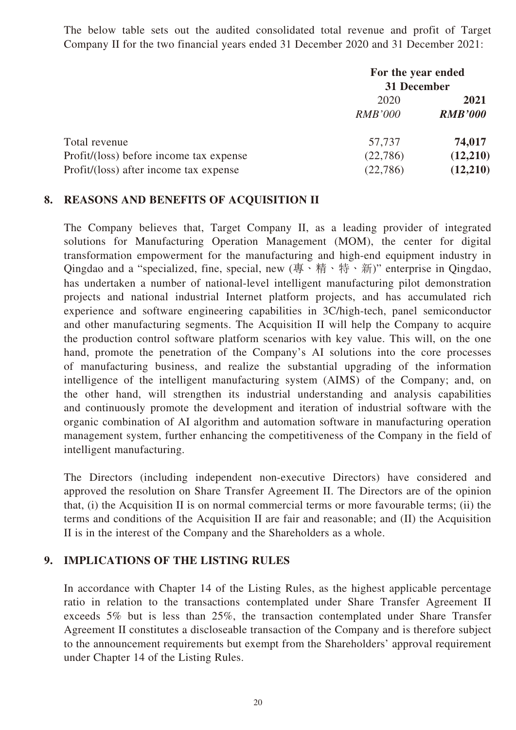The below table sets out the audited consolidated total revenue and profit of Target Company II for the two financial years ended 31 December 2020 and 31 December 2021:

|                                         | For the year ended<br>31 December |                |
|-----------------------------------------|-----------------------------------|----------------|
|                                         | 2020                              | 2021           |
|                                         | <i>RMB'000</i>                    | <b>RMB'000</b> |
| Total revenue                           | 57,737                            | 74,017         |
| Profit/(loss) before income tax expense | (22,786)                          | (12,210)       |
| Profit/(loss) after income tax expense  | (22, 786)                         | (12,210)       |

### **8. REASONS AND BENEFITS OF ACQUISITION II**

The Company believes that, Target Company II, as a leading provider of integrated solutions for Manufacturing Operation Management (MOM), the center for digital transformation empowerment for the manufacturing and high-end equipment industry in Qingdao and a "specialized, fine, special, new  $(\bar{a} \cdot \hat{a} + \hat{b} \cdot \hat{a})$ " enterprise in Qingdao, has undertaken a number of national-level intelligent manufacturing pilot demonstration projects and national industrial Internet platform projects, and has accumulated rich experience and software engineering capabilities in 3C/high-tech, panel semiconductor and other manufacturing segments. The Acquisition II will help the Company to acquire the production control software platform scenarios with key value. This will, on the one hand, promote the penetration of the Company's AI solutions into the core processes of manufacturing business, and realize the substantial upgrading of the information intelligence of the intelligent manufacturing system (AIMS) of the Company; and, on the other hand, will strengthen its industrial understanding and analysis capabilities and continuously promote the development and iteration of industrial software with the organic combination of AI algorithm and automation software in manufacturing operation management system, further enhancing the competitiveness of the Company in the field of intelligent manufacturing.

The Directors (including independent non-executive Directors) have considered and approved the resolution on Share Transfer Agreement II. The Directors are of the opinion that, (i) the Acquisition II is on normal commercial terms or more favourable terms; (ii) the terms and conditions of the Acquisition II are fair and reasonable; and (II) the Acquisition II is in the interest of the Company and the Shareholders as a whole.

### **9. IMPLICATIONS OF THE LISTING RULES**

In accordance with Chapter 14 of the Listing Rules, as the highest applicable percentage ratio in relation to the transactions contemplated under Share Transfer Agreement II exceeds 5% but is less than 25%, the transaction contemplated under Share Transfer Agreement II constitutes a discloseable transaction of the Company and is therefore subject to the announcement requirements but exempt from the Shareholders' approval requirement under Chapter 14 of the Listing Rules.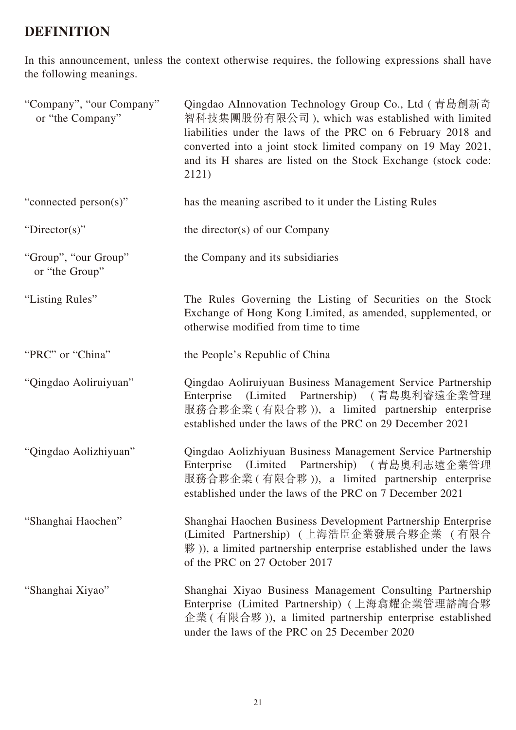## **DEFINITION**

In this announcement, unless the context otherwise requires, the following expressions shall have the following meanings.

| "Company", "our Company"<br>or "the Company" | Qingdao AInnovation Technology Group Co., Ltd ( 青島創新奇<br>智科技集團股份有限公司), which was established with limited<br>liabilities under the laws of the PRC on 6 February 2018 and<br>converted into a joint stock limited company on 19 May 2021,<br>and its H shares are listed on the Stock Exchange (stock code:<br>2121) |
|----------------------------------------------|----------------------------------------------------------------------------------------------------------------------------------------------------------------------------------------------------------------------------------------------------------------------------------------------------------------------|
| "connected person(s)"                        | has the meaning ascribed to it under the Listing Rules                                                                                                                                                                                                                                                               |
| "Director(s)"                                | the director(s) of our Company                                                                                                                                                                                                                                                                                       |
| "Group", "our Group"<br>or "the Group"       | the Company and its subsidiaries                                                                                                                                                                                                                                                                                     |
| "Listing Rules"                              | The Rules Governing the Listing of Securities on the Stock<br>Exchange of Hong Kong Limited, as amended, supplemented, or<br>otherwise modified from time to time                                                                                                                                                    |
| "PRC" or "China"                             | the People's Republic of China                                                                                                                                                                                                                                                                                       |
| "Qingdao Aoliruiyuan"                        | Qingdao Aoliruiyuan Business Management Service Partnership<br>(Limited Partnership) (青島奧利睿遠企業管理<br>Enterprise<br>服務合夥企業 (有限合夥)), a limited partnership enterprise<br>established under the laws of the PRC on 29 December 2021                                                                                      |
| "Qingdao Aolizhiyuan"                        | Qingdao Aolizhiyuan Business Management Service Partnership<br>Enterprise (Limited Partnership) (青島奧利志遠企業管理<br>服務合夥企業 (有限合夥)), a limited partnership enterprise<br>established under the laws of the PRC on 7 December 2021                                                                                          |
| "Shanghai Haochen"                           | Shanghai Haochen Business Development Partnership Enterprise<br>(Limited Partnership) (上海浩臣企業發展合夥企業 (有限合<br>$\mathcal{H}$ )), a limited partnership enterprise established under the laws<br>of the PRC on 27 October 2017                                                                                           |
| "Shanghai Xiyao"                             | Shanghai Xiyao Business Management Consulting Partnership<br>Enterprise (Limited Partnership) (上海翕耀企業管理諮詢合夥<br>企業 (有限合夥)), a limited partnership enterprise established<br>under the laws of the PRC on 25 December 2020                                                                                             |